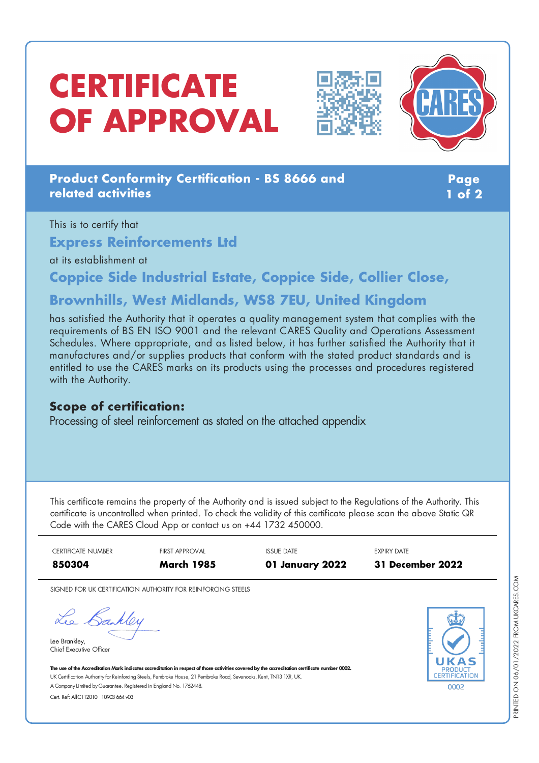# **CERTIFICATE OF APPROVAL**





#### **Product Conformity Certification - BS 8666 and related activities**

**Page 1 of 2**

#### This is to certify that **Express Reinforcements Ltd** at its establishment at

**Coppice Side Industrial Estate, Coppice Side, Collier Close,**

## **Brownhills, West Midlands, WS8 7EU, United Kingdom**

has satisfied the Authority that it operates a quality management system that complies with the requirements of BS EN ISO 9001 and the relevant CARES Quality and Operations Assessment Schedules. Where appropriate, and as listed below, it has further satisfied the Authority that it manufactures and/or supplies products that conform with the stated product standards and is entitled to use the CARES marks on its products using the processes and procedures registered with the Authority.

#### **Scope of certification:**

Processing of steel reinforcement as stated on the attached appendix

This certificate remains the property of the Authority and is issued subject to the Regulations of the Authority. This certificate is uncontrolled when printed. To check the validity of this certificate please scan the above Static QR Code with the CARES Cloud App or contact us on +44 1732 450000.

| <b>CERTIFICATE NUMBER</b> | <b>FIRST APPROVAL</b> | ISSUE DATE      | <b>EXPIRY DATE</b> |
|---------------------------|-----------------------|-----------------|--------------------|
| 850304                    | <b>March 1985</b>     | 01 January 2022 | 31 December 2022   |

SIGNED FOR UK CERTIFICATION AUTHORITY FOR REINFORCING STEELS

Lee Bankley

Lee Brankley, Chief Executive Officer



The use of the Accreditation Mark indicates accreditation in respect of those activities covered by the accreditation certificate number 0002. UK Certification Authority for Reinforcing Steels, Pembroke House, 21 Pembroke Road, Sevenoaks, Kent, TN13 1XR, UK. A CompanyLimited byGuarantee. Registered in England No. 1762448.

Cert. Ref: AllC112010 10903 664 v03